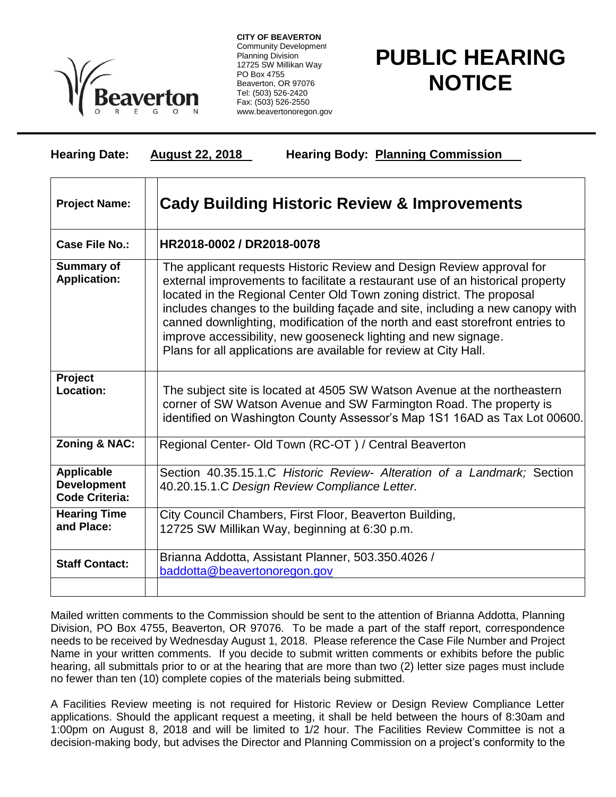

**CITY OF BEAVERTON** Community Development Planning Division 12725 SW Millikan Way PO Box 4755 Beaverton, OR 97076 Tel: (503) 526-2420 Fax: (503) 526-2550 www.beavertonoregon.gov

## **PUBLIC HEARING NOTICE**

| <b>Hearing Date:</b> | <b>August 22, 2018</b>                                  | <b>Hearing Body: Planning Commission</b> |
|----------------------|---------------------------------------------------------|------------------------------------------|
| <b>Project Name:</b> | <b>Cady Building Historic Review &amp; Improvements</b> |                                          |

| Case File No.:                                                   | HR2018-0002 / DR2018-0078                                                                                                                                                                                                                                                                                                                                                                                                                                                                                                                 |  |
|------------------------------------------------------------------|-------------------------------------------------------------------------------------------------------------------------------------------------------------------------------------------------------------------------------------------------------------------------------------------------------------------------------------------------------------------------------------------------------------------------------------------------------------------------------------------------------------------------------------------|--|
| <b>Summary of</b><br><b>Application:</b>                         | The applicant requests Historic Review and Design Review approval for<br>external improvements to facilitate a restaurant use of an historical property<br>located in the Regional Center Old Town zoning district. The proposal<br>includes changes to the building façade and site, including a new canopy with<br>canned downlighting, modification of the north and east storefront entries to<br>improve accessibility, new gooseneck lighting and new signage.<br>Plans for all applications are available for review at City Hall. |  |
| Project                                                          |                                                                                                                                                                                                                                                                                                                                                                                                                                                                                                                                           |  |
| <b>Location:</b>                                                 | The subject site is located at 4505 SW Watson Avenue at the northeastern<br>corner of SW Watson Avenue and SW Farmington Road. The property is<br>identified on Washington County Assessor's Map 1S1 16AD as Tax Lot 00600.                                                                                                                                                                                                                                                                                                               |  |
| <b>Zoning &amp; NAC:</b>                                         | Regional Center- Old Town (RC-OT) / Central Beaverton                                                                                                                                                                                                                                                                                                                                                                                                                                                                                     |  |
| <b>Applicable</b><br><b>Development</b><br><b>Code Criteria:</b> | Section 40.35.15.1.C Historic Review- Alteration of a Landmark; Section<br>40.20.15.1.C Design Review Compliance Letter.                                                                                                                                                                                                                                                                                                                                                                                                                  |  |
| <b>Hearing Time</b><br>and Place:                                | City Council Chambers, First Floor, Beaverton Building,<br>12725 SW Millikan Way, beginning at 6:30 p.m.                                                                                                                                                                                                                                                                                                                                                                                                                                  |  |
| <b>Staff Contact:</b>                                            | Brianna Addotta, Assistant Planner, 503.350.4026 /<br>baddotta@beavertonoregon.gov                                                                                                                                                                                                                                                                                                                                                                                                                                                        |  |
|                                                                  |                                                                                                                                                                                                                                                                                                                                                                                                                                                                                                                                           |  |

Mailed written comments to the Commission should be sent to the attention of Brianna Addotta, Planning Division, PO Box 4755, Beaverton, OR 97076. To be made a part of the staff report, correspondence needs to be received by Wednesday August 1, 2018. Please reference the Case File Number and Project Name in your written comments. If you decide to submit written comments or exhibits before the public hearing, all submittals prior to or at the hearing that are more than two (2) letter size pages must include no fewer than ten (10) complete copies of the materials being submitted.

A Facilities Review meeting is not required for Historic Review or Design Review Compliance Letter applications. Should the applicant request a meeting, it shall be held between the hours of 8:30am and 1:00pm on August 8, 2018 and will be limited to 1/2 hour. The Facilities Review Committee is not a decision-making body, but advises the Director and Planning Commission on a project's conformity to the